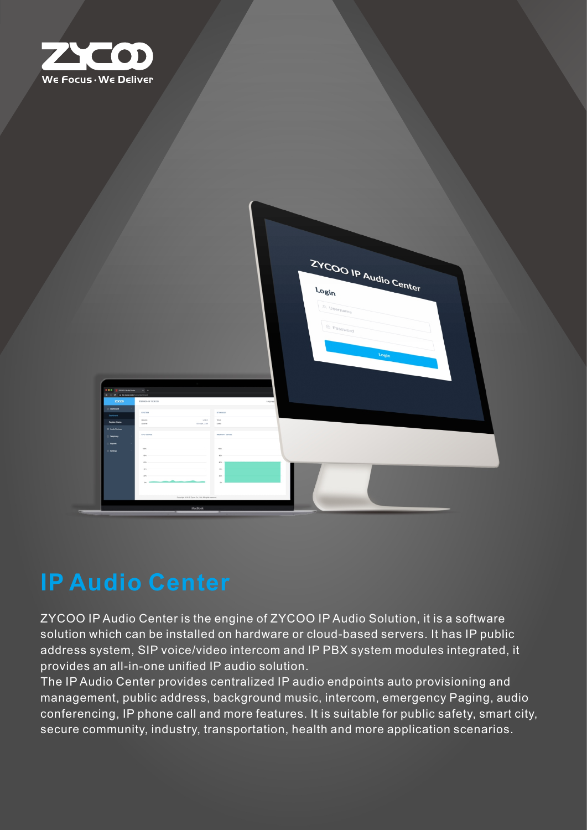



# **IP Audio Center**

ZYCOO IP Audio Center is the engine of ZYCOO IP Audio Solution, it is a software solution which can be installed on hardware or cloud-based servers. It has IP public address system, SIP voice/video intercom and IP PBX system modules integrated, it provides an all-in-one unified IP audio solution.

The IP Audio Center provides centralized IP audio endpoints auto provisioning and management, public address, background music, intercom, emergency Paging, audio conferencing, IP phone call and more features. It is suitable for public safety, smart city, secure community, industry, transportation, health and more application scenarios.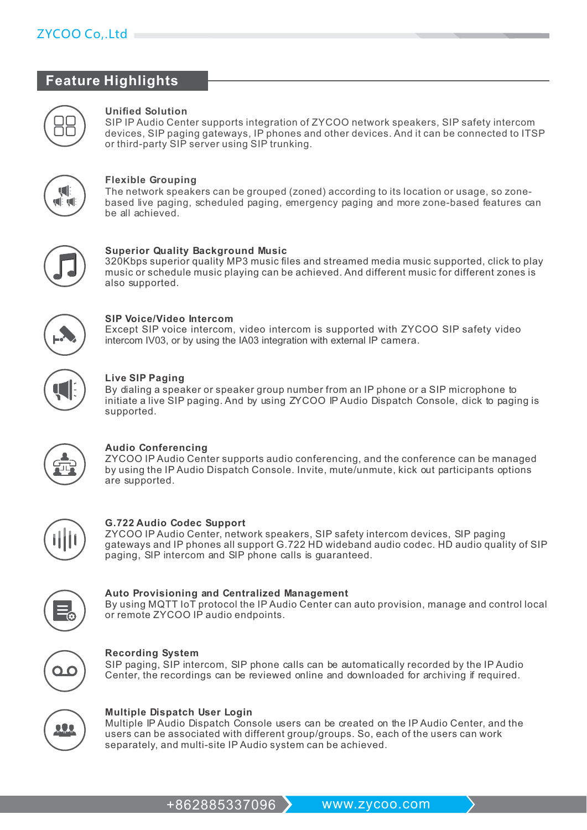### $ZYCOO$  Co, Ltd  $\equiv$

### **Feature Highlights**



#### **Unified Solution**

SIP IP Audio Center supports integration of ZYCOO network speakers, SIP safety intercom devices, SIP paging gateways, IP phones and other devices. And it can be connected to ITSP or third-party SIP server using SIP trunking.



#### **Flexible Grouping**

The network speakers can be grouped (zoned) according to its location or usage, so zonebased live paging, scheduled paging, emergency paging and more zone-based features can be all achieved.



#### **Superior Quality Background Music**

320Kbps superior quality MP3 music files and streamed media music supported, click to play music or schedule music playing can be achieved. And different music for different zones is also supported.



#### **SIP Voice/Video Intercom**

Except SIP voice intercom, video intercom is supported with ZYCOO SIP safety video intercom IV03, or by using the IA03 integration with external IP camera.



#### **Live SIP Paging**

By dialing a speaker or speaker group number from an IP phone or a SIP microphone to initiate a live SIP paging. And by using ZYCOO IP Audio Dispatch Console, dick to paging is supported.



#### **Audio Conferencing**

ZYCOO IP Audio Center supports audio conferencing, and the conference can be managed by using the IP Audio Dispatch Console. Invite, mute/unmute, kick out participants options are supported.



#### **G.722 Audio Codec Support**

ZYCOO IP Audio Center, network speakers, SIP safety intercom devices, SIP paging gateways and IP phones all support G.722 HD wideband audio codec. HD audio quality of SIP paging, SIP intercom and SIP phone calls is guaranteed.

#### **Auto Provisioning and Centralized Management**

By using MQTT IoT protocol the IP Audio Center can auto provision, manage and control local or remote ZYCOO IP audio endpoints.



#### **Recording System**

SIP paging, SIP intercom, SIP phone calls can be automatically recorded by the IP Audio Center, the recordings can be reviewed online and downloaded for archiving if required.



#### **Multiple Dispatch User Login**

Multiple IP Audio Dispatch Console users can be created on the IP Audio Center, and the users can be associated with different group/groups. So, each of the users can work separately, and multi-site IP Audio system can be achieved.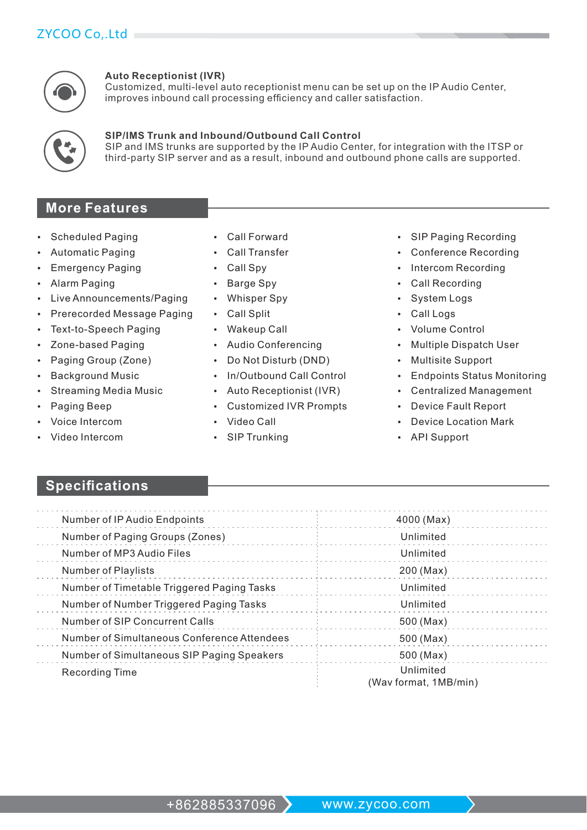### ZYCOO Co..Ltd



#### **Auto Receptionist (IVR)**

Customized, multi-level auto receptionist menu can be set up on the IP Audio Center, improves inbound call processing efficiency and caller satisfaction.

### **SIP/IMS Trunk and Inbound/Outbound Call Control**

SIP and IMS trunks are supported by the IP Audio Center, for integration with the ITSP or third-party SIP server and as a result, inbound and outbound phone calls are supported.

### **More Features**

- **Scheduled Paging**
- **Automatic Paging**
- **Emergency Paging**
- Alarm Paging
- Live Announcements/Paging
- Prerecorded Message Paging
- **Text-to-Speech Paging**
- Zone-based Paging
- Paging Group (Zone)
- **Background Music**
- **Streaming Media Music**
- **Paging Beep**
- Voice Intercom
- Video Intercom
- Call Forward
- **Call Transfer**
- Call Spy
- **Barge Spy**  $\bullet$
- **Whisper Spy**
- **Call Split**  $\bullet$
- **Wakeup Call**  $\bullet$
- Audio Conferencing  $\bullet$
- Do Not Disturb (DND)  $\bullet$
- In/Outbound Call Control
- Auto Receptionist (IVR)  $\bullet$
- **Customized IVR Prompts**
- Video Call
- SIP Trunking
- SIP Paging Recording
- **Conference Recording**
- Intercom Recording
- **Call Recording**
- **System Logs**
- Call Logs
- **Volume Control**
- **Multiple Dispatch User**
- **Multisite Support**
- **Endpoints Status Monitoring**
- **Centralized Management**
- **Device Fault Report**
- Device Location Mark
- **API Support**

## **Specifications**

| Number of IP Audio Endpoints                | 4000 (Max)                         |
|---------------------------------------------|------------------------------------|
| Number of Paging Groups (Zones)             | Unlimited                          |
| Number of MP3 Audio Files                   | Unlimited                          |
| <b>Number of Playlists</b>                  | 200 (Max)                          |
| Number of Timetable Triggered Paging Tasks  | Unlimited                          |
| Number of Number Triggered Paging Tasks     | Unlimited                          |
| Number of SIP Concurrent Calls              | 500 (Max)                          |
| Number of Simultaneous Conference Attendees | 500 (Max)                          |
| Number of Simultaneous SIP Paging Speakers  | 500 (Max)                          |
| <b>Recording Time</b>                       | Unlimited<br>(Wav format, 1MB/min) |